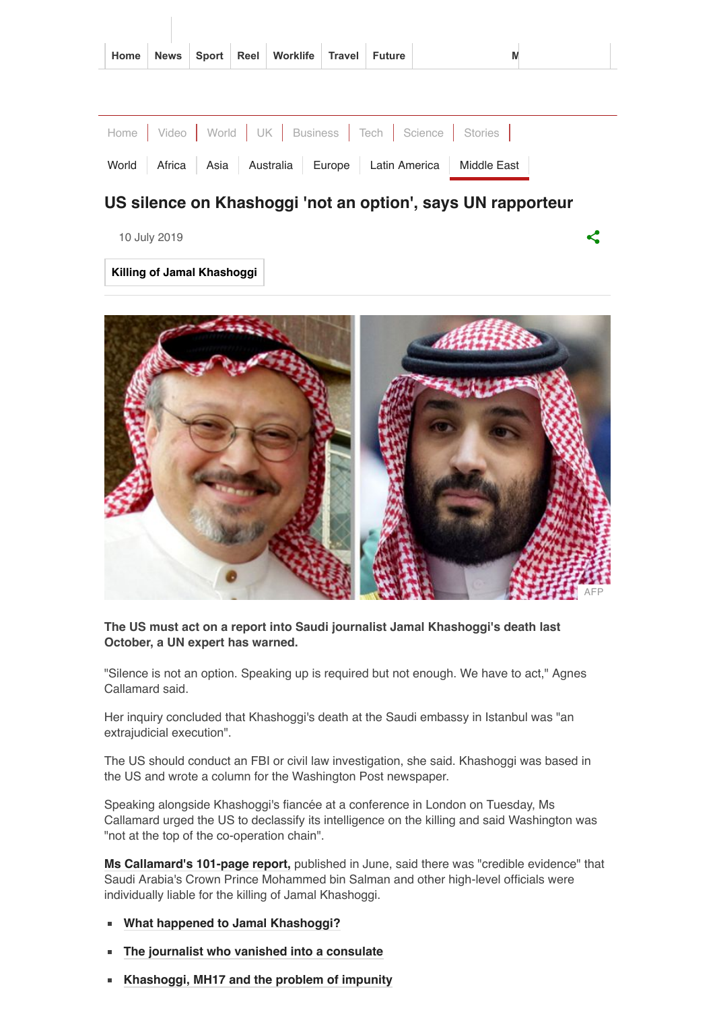|  |  | Home News Sport Reel Worklife Travel Future |  |  |
|--|--|---------------------------------------------|--|--|
|  |  |                                             |  |  |

|  |  |  | Home   Video   World   UK   Business   Tech   Science   Stories |
|--|--|--|-----------------------------------------------------------------|
|  |  |  | World Africa Asia Australia Europe Latin America Middle East    |

ぐ

## **US silence on Khashoggi 'not an option', says UN rapporteur**

10 July 2019

**[Killing of Jamal Khashoggi](https://www.bbc.com/news/topics/czjmg5rvl57t/killing-of-jamal-khashoggi)**



#### **The US must act on a report into Saudi journalist Jamal Khashoggi's death last October, a UN expert has warned.**

"Silence is not an option. Speaking up is required but not enough. We have to act," Agnes Callamard said.

Her inquiry concluded that Khashoggi's death at the Saudi embassy in Istanbul was "an extrajudicial execution".

The US should conduct an FBI or civil law investigation, she said. Khashoggi was based in the US and wrote a column for the Washington Post newspaper.

Speaking alongside Khashoggi's fiancée at a conference in London on Tuesday, Ms Callamard urged the US to declassify its intelligence on the killing and said Washington was "not at the top of the co-operation chain".

**[Ms Callamard's 101-page report,](https://www.bbc.co.uk/news/world-middle-east-48689137)** published in June, said there was "credible evidence" that Saudi Arabia's Crown Prince Mohammed bin Salman and other high-level officials were individually liable for the killing of Jamal Khashoggi.

- **[What happened to Jamal Khashoggi?](https://www.bbc.com/news/world-europe-45812399)**
- **[The journalist who vanished into a consulate](https://www.bbc.com/news/world-middle-east-45789369)**  $\blacksquare$
- **[Khashoggi, MH17 and the problem of impunity](https://www.bbc.com/news/world-48695835)**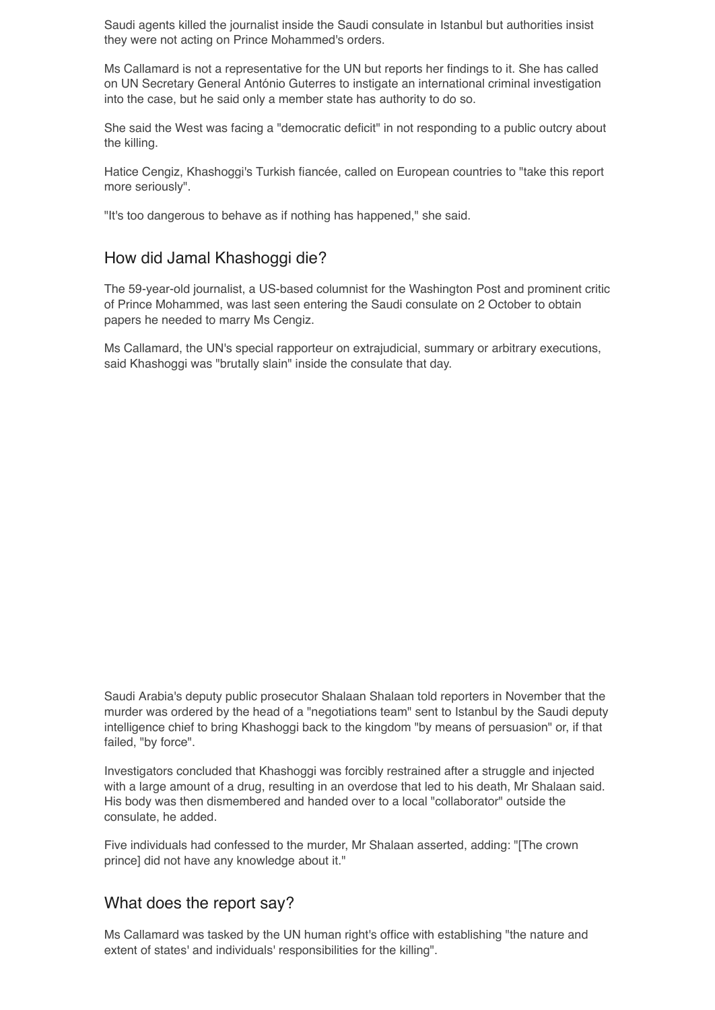Saudi agents killed the journalist inside the Saudi consulate in Istanbul but authorities insist they were not acting on Prince Mohammed's orders.

Ms Callamard is not a representative for the UN but reports her findings to it. She has called on UN Secretary General António Guterres to instigate an international criminal investigation into the case, but he said only a member state has authority to do so.

She said the West was facing a "democratic deficit" in not responding to a public outcry about the killing.

Hatice Cengiz, Khashoggi's Turkish fiancée, called on European countries to "take this report more seriously".

"It's too dangerous to behave as if nothing has happened," she said.

### How did Jamal Khashoggi die?

The 59-year-old journalist, a US-based columnist for the Washington Post and prominent critic of Prince Mohammed, was last seen entering the Saudi consulate on 2 October to obtain papers he needed to marry Ms Cengiz.

Ms Callamard, the UN's special rapporteur on extrajudicial, summary or arbitrary executions, said Khashoggi was "brutally slain" inside the consulate that day.

Saudi Arabia's deputy public prosecutor Shalaan Shalaan told reporters in November that the murder was ordered by the head of a "negotiations team" sent to Istanbul by the Saudi deputy intelligence chief to bring Khashoggi back to the kingdom "by means of persuasion" or, if that failed, "by force".

Investigators concluded that Khashoggi was forcibly restrained after a struggle and injected with a large amount of a drug, resulting in an overdose that led to his death, Mr Shalaan said. His body was then dismembered and handed over to a local "collaborator" outside the consulate, he added.

Five individuals had confessed to the murder, Mr Shalaan asserted, adding: "[The crown prince] did not have any knowledge about it."

### What does the report say?

Ms Callamard was tasked by the UN human right's office with establishing "the nature and extent of states' and individuals' responsibilities for the killing".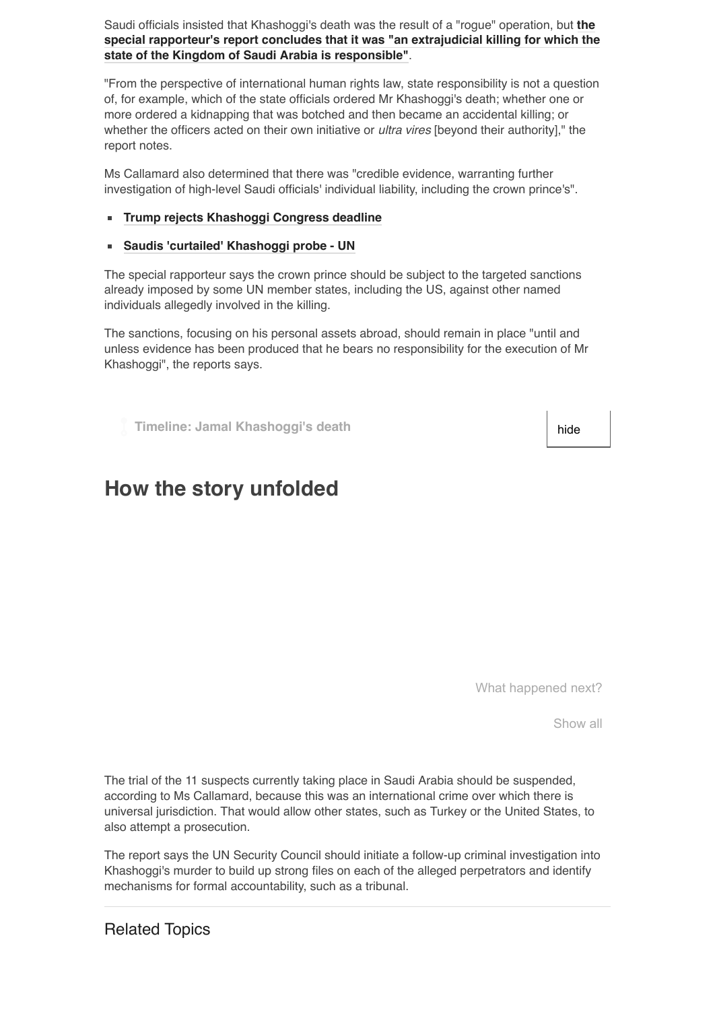Saudi officials insisted that Khashoggi's death was the result of a "rogue" operation, but **the [special rapporteur's report concludes that it was "an extrajudicial killing for which the](https://www.ohchr.org/EN/HRBodies/HRC/RegularSessions/Session41/Documents/A_HRC_41_CRP.1.docx) state of the Kingdom of Saudi Arabia is responsible"**.

"From the perspective of international human rights law, state responsibility is not a question of, for example, which of the state officials ordered Mr Khashoggi's death; whether one or more ordered a kidnapping that was botched and then became an accidental killing; or whether the officers acted on their own initiative or *ultra vires* [beyond their authority]," the report notes.

Ms Callamard also determined that there was "credible evidence, warranting further investigation of high-level Saudi officials' individual liability, including the crown prince's".

#### **[Trump rejects Khashoggi Congress deadline](https://www.bbc.com/news/world-us-canada-47182567)**

#### **[Saudis 'curtailed' Khashoggi probe - UN](https://www.bbc.com/news/world-middle-east-47161037)**

The special rapporteur says the crown prince should be subject to the targeted sanctions already imposed by some UN member states, including the US, against other named individuals allegedly involved in the killing.

The sanctions, focusing on his personal assets abroad, should remain in place "until and unless evidence has been produced that he bears no responsibility for the execution of Mr Khashoggi", the reports says.

**Timeline: Jamal Khashoggi's death hide** 

# **How the story unfolded**

What happened next?

Show all

The trial of the 11 suspects currently taking place in Saudi Arabia should be suspended, according to Ms Callamard, because this was an international crime over which there is universal jurisdiction. That would allow other states, such as Turkey or the United States, to also attempt a prosecution.

The report says the UN Security Council should initiate a follow-up criminal investigation into Khashoggi's murder to build up strong files on each of the alleged perpetrators and identify mechanisms for formal accountability, such as a tribunal.

Related Topics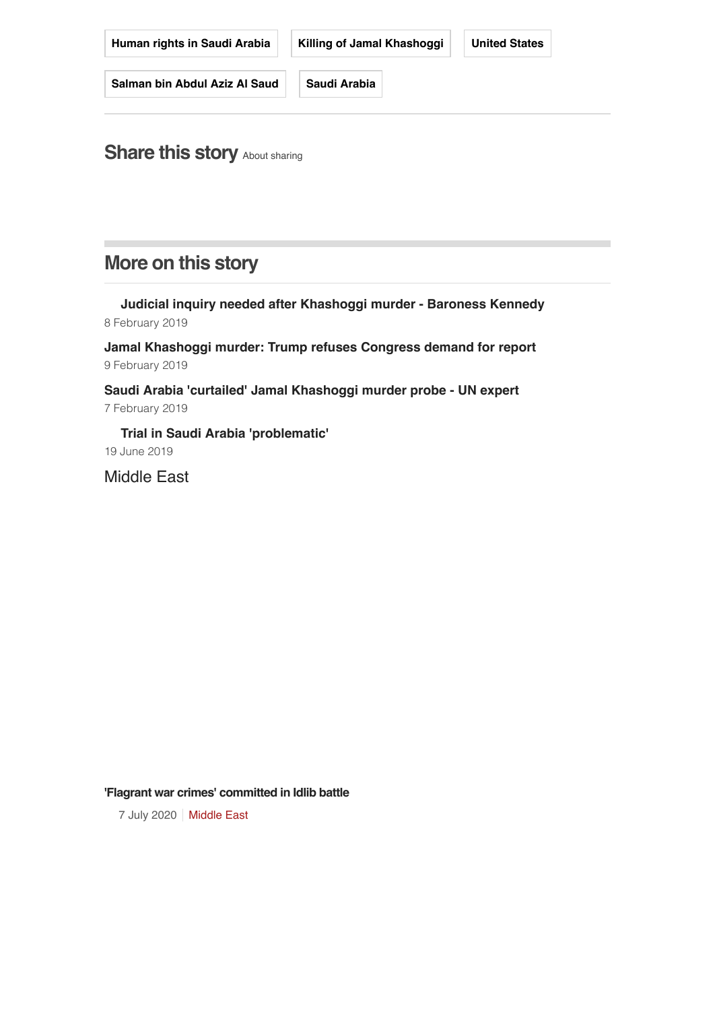| Human rights in Saudi Arabia  | Killing of Jamal Khashoggi | <b>United States</b> |
|-------------------------------|----------------------------|----------------------|
| Salman bin Abdul Aziz Al Saud | Saudi Arabia               |                      |

**Share this story** [About sharing](http://www.bbc.co.uk/help/web/sharing.shtml)

# **More on this story**

**[Judicial inquiry needed after Khashoggi murder - Baroness Kennedy](https://www.bbc.com/news/av/world-47172029/judicial-inquiry-needed-after-khashoggi-murder-baroness-kennedy)** 8 February 2019

**[Jamal Khashoggi murder: Trump refuses Congress demand for report](https://www.bbc.com/news/world-us-canada-47182567)** 9 February 2019

**[Saudi Arabia 'curtailed' Jamal Khashoggi murder probe - UN expert](https://www.bbc.com/news/world-middle-east-47161037)** 7 February 2019

**[Trial in Saudi Arabia 'problematic'](https://www.bbc.com/news/av/world-middle-east-48694439/trial-in-saudi-arabia-problematic)** 19 June 2019

[Middle East](https://www.bbc.com/news/world/middle_east)

#### **'Flagrant war crimes' [committed](https://www.bbc.com/news/world-middle-east-53322857) in Idlib battle**

7 July 2020 | [Middle East](https://www.bbc.com/news/world/middle_east)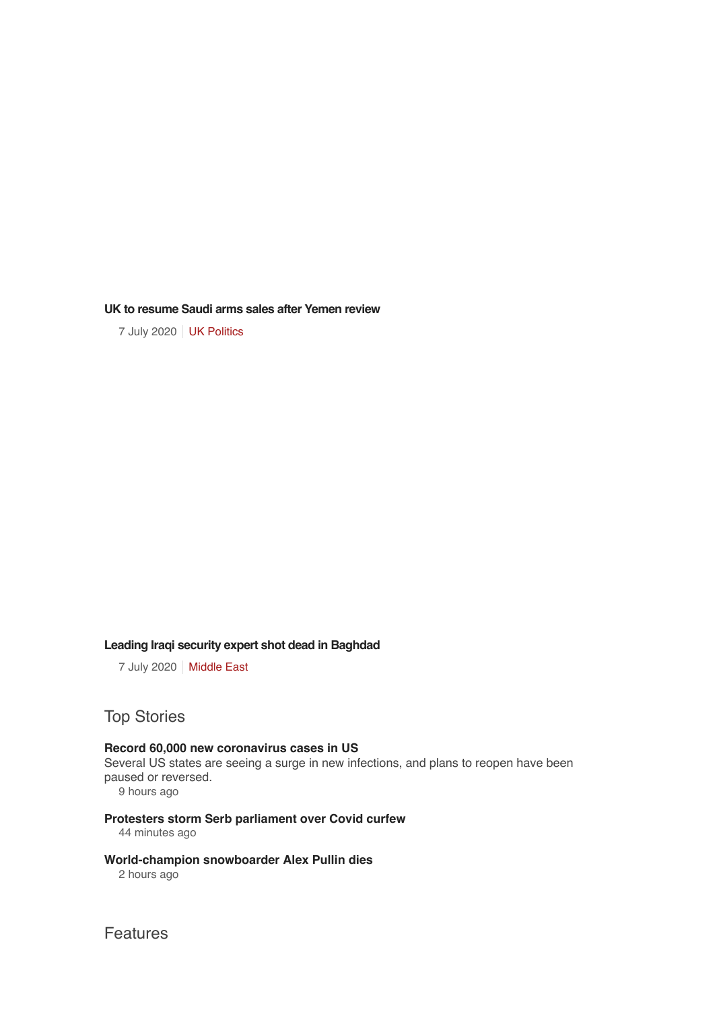**UK to [resume](https://www.bbc.com/news/uk-politics-53324251) Saudi arms sales after Yemen review**

7 July 2020 | [UK Politics](https://www.bbc.com/news/politics)

#### **Leading Iraqi security expert shot dead in [Baghdad](https://www.bbc.com/news/world-middle-east-53318803)**

7 July 2020 | [Middle East](https://www.bbc.com/news/world/middle_east)

## Top Stories

#### **Record 60,000 new coronavirus cases in US**

[Several US states are seeing a surge in new infections, and plans to reopen have been](https://www.bbc.com/news/live/world-53330509) paused or reversed.

9 hours ago

#### **[Protesters storm Serb parliament over Covid curfew](https://www.bbc.com/news/world-europe-53332225)**

44 minutes ago

#### **[World-champion snowboarder Alex Pullin dies](https://www.bbc.com/news/world-australia-53331227)**

2 hours ago

Features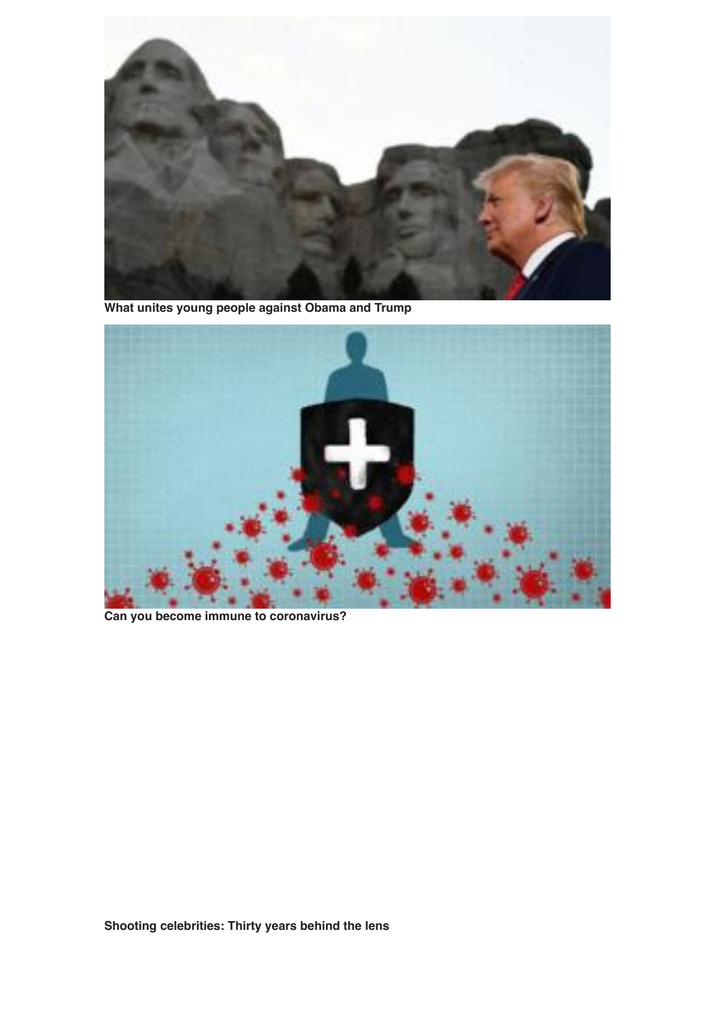

**[What unites young people against Obama and Trump](https://www.bbc.com/news/world-us-canada-53311867)**



**[Can you become immune to coronavirus?](https://www.bbc.com/news/av/53319735/can-you-become-immune-to-coronavirus)**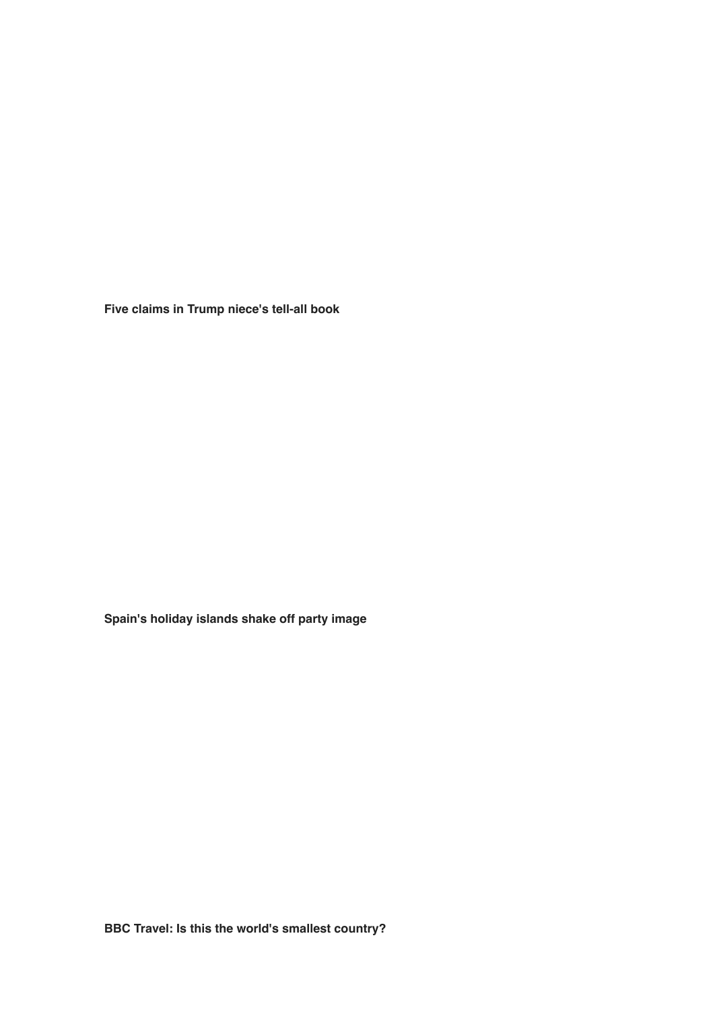**[Five claims in Trump niece's tell-all book](https://www.bbc.com/news/world-us-canada-53328654)**

**[Spain's holiday islands shake off party image](https://www.bbc.com/news/world-europe-53248728)**

**[BBC Travel: Is this the world's smallest country?](https://www.bbc.com/travel/story/20200706-sealand-a-peculiar-nation-off-englands-coast)**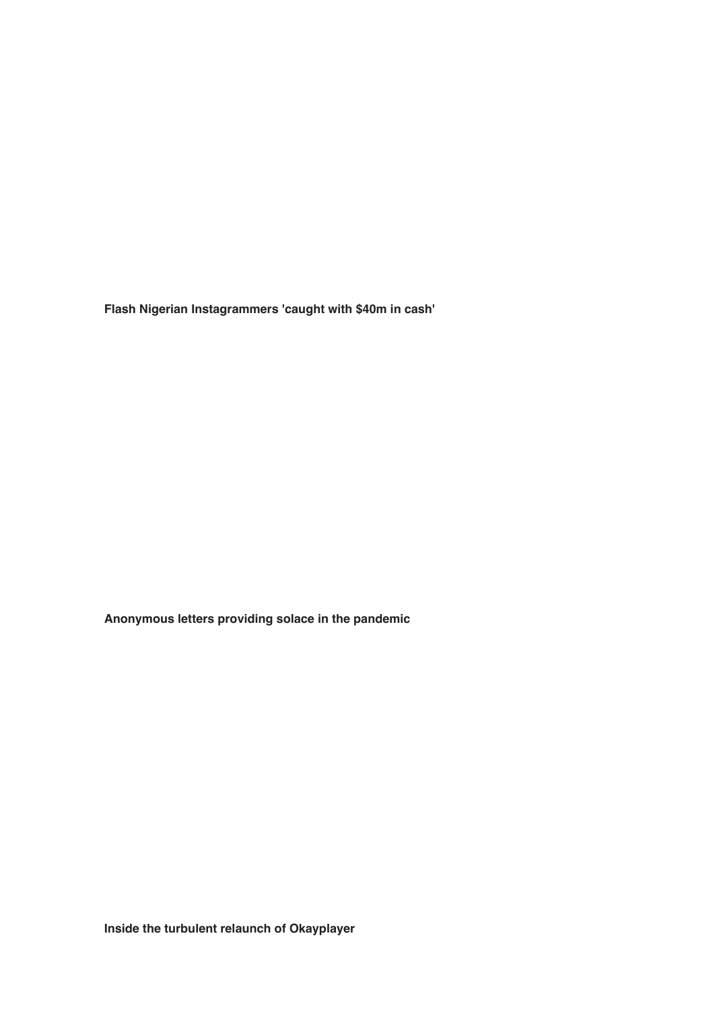**[Flash Nigerian Instagrammers 'caught with \\$40m in cash'](https://www.bbc.com/news/world-africa-53309873)**

**[Anonymous letters providing solace in the pandemic](https://www.bbc.com/news/world-latin-america-53247411)**

**[Inside the turbulent relaunch of Okayplayer](https://www.bbc.com/news/entertainment-arts-53309953)**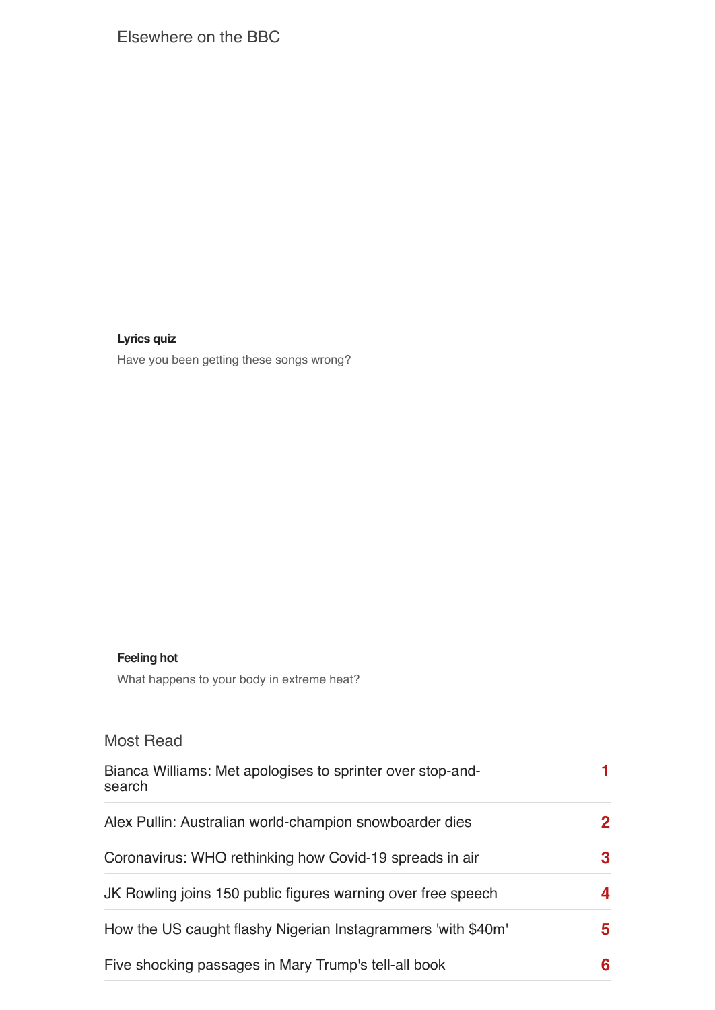## Elsewhere on the BBC

### **[Lyrics](https://www.bbc.co.uk/music/articles/d37a03cb-41e5-43c8-b88d-8e1f59fd9998?intc_type=promo&intc_location=news&intc_campaign=misheardlyrics_quiz&intc_linkname=bbcmusic_rm_low_c3) quiz**

Have you been getting these songs wrong?

### **[Feeling](https://www.bbc.co.uk/bbcthree/article/063dba1d-2ab2-40e3-9837-3d70481ef82c?intc_type=promo&intc_location=news&intc_campaign=whathappenstoyourbodyinheat_article&intc_linkname=bbcthree_yc_low_c3) hot**

What happens to your body in extreme heat?

### Most Read

| Bianca Williams: Met apologises to sprinter over stop-and-<br>search |   |
|----------------------------------------------------------------------|---|
| Alex Pullin: Australian world-champion snowboarder dies              |   |
| Coronavirus: WHO rethinking how Covid-19 spreads in air              | 3 |
| JK Rowling joins 150 public figures warning over free speech         |   |
| How the US caught flashy Nigerian Instagrammers 'with \$40m'         | 5 |
| Five shocking passages in Mary Trump's tell-all book                 | 6 |